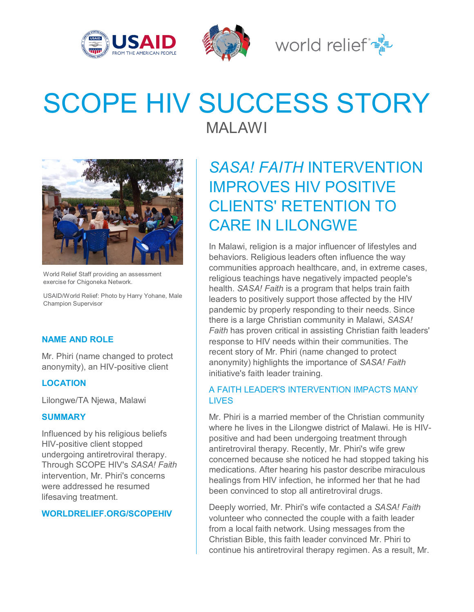





# SCOPE HIV SUCCESS STORY

World Relief Staff providing an assessment exercise for Chigoneka Network.

USAID/World Relief: Photo by Harry Yohane, Male Champion Supervisor

#### **NAME AND ROLE**

Mr. Phiri (name changed to protect anonymity), an HIV-positive client

#### **LOCATION**

Lilongwe/TA Njewa, Malawi

#### **SUMMARY**

Influenced by his religious beliefs HIV-positive client stopped undergoing antiretroviral therapy. Through SCOPE HIV's *SASA! Faith* intervention, Mr. Phiri's concerns were addressed he resumed lifesaving treatment.

#### **WORLDRELIEF.ORG/SCOPEHIV**

MALAWI

## *SASA! FAITH* INTERVENTION IMPROVES HIV POSITIVE CLIENTS' RETENTION TO CARE IN LILONGWE

In Malawi, religion is a major influencer of lifestyles and behaviors. Religious leaders often influence the way communities approach healthcare, and, in extreme cases, religious teachings have negatively impacted people's health. *SASA! Faith* is a program that helps train faith leaders to positively support those affected by the HIV pandemic by properly responding to their needs. Since there is a large Christian community in Malawi, *SASA! Faith* has proven critical in assisting Christian faith leaders' response to HIV needs within their communities. The recent story of Mr. Phiri (name changed to protect anonymity) highlights the importance of *SASA! Faith*  initiative's faith leader training.

### A FAITH LEADER'S INTERVENTION IMPACTS MANY **LIVES**

Mr. Phiri is a married member of the Christian community where he lives in the Lilongwe district of Malawi. He is HIVpositive and had been undergoing treatment through antiretroviral therapy. Recently, Mr. Phiri's wife grew concerned because she noticed he had stopped taking his medications. After hearing his pastor describe miraculous healings from HIV infection, he informed her that he had been convinced to stop all antiretroviral drugs.

Deeply worried, Mr. Phiri's wife contacted a *SASA! Faith*  volunteer who connected the couple with a faith leader from a local faith network. Using messages from the Christian Bible, this faith leader convinced Mr. Phiri to continue his antiretroviral therapy regimen. As a result, Mr.